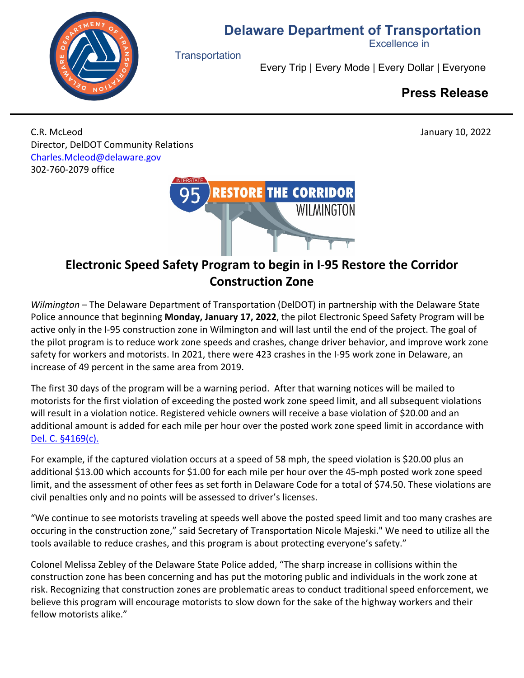



**Transportation** 

Excellence in

Every Trip | Every Mode | Every Dollar | Everyone

## **Press Release**

C.R. McLeod January 10, 2022 Director, DelDOT Community Relations [Charles.Mcleod@delaware.gov](mailto:Charles.Mcleod@delaware.gov) 302-760-2079 office



## **Electronic Speed Safety Program to begin in I-95 Restore the Corridor Construction Zone**

*Wilmington –* The Delaware Department of Transportation (DelDOT) in partnership with the Delaware State Police announce that beginning **Monday, January 17, 2022**, the pilot Electronic Speed Safety Program will be active only in the I-95 construction zone in Wilmington and will last until the end of the project. The goal of the pilot program is to reduce work zone speeds and crashes, change driver behavior, and improve work zone safety for workers and motorists. In 2021, there were 423 crashes in the I-95 work zone in Delaware, an increase of 49 percent in the same area from 2019.

The first 30 days of the program will be a warning period. After that warning notices will be mailed to motorists for the first violation of exceeding the posted work zone speed limit, and all subsequent violations will result in a violation notice. Registered vehicle owners will receive a base violation of \$20.00 and an additional amount is added for each mile per hour over the posted work zone speed limit in accordance with [Del. C. §4169\(c\).](https://delcode.delaware.gov/title21/c041/sc08/index.html)

For example, if the captured violation occurs at a speed of 58 mph, the speed violation is \$20.00 plus an additional \$13.00 which accounts for \$1.00 for each mile per hour over the 45-mph posted work zone speed limit, and the assessment of other fees as set forth in Delaware Code for a total of \$74.50. These violations are civil penalties only and no points will be assessed to driver's licenses.

"We continue to see motorists traveling at speeds well above the posted speed limit and too many crashes are occuring in the construction zone," said Secretary of Transportation Nicole Majeski." We need to utilize all the tools available to reduce crashes, and this program is about protecting everyone's safety."

Colonel Melissa Zebley of the Delaware State Police added, "The sharp increase in collisions within the construction zone has been concerning and has put the motoring public and individuals in the work zone at risk. Recognizing that construction zones are problematic areas to conduct traditional speed enforcement, we believe this program will encourage motorists to slow down for the sake of the highway workers and their fellow motorists alike."